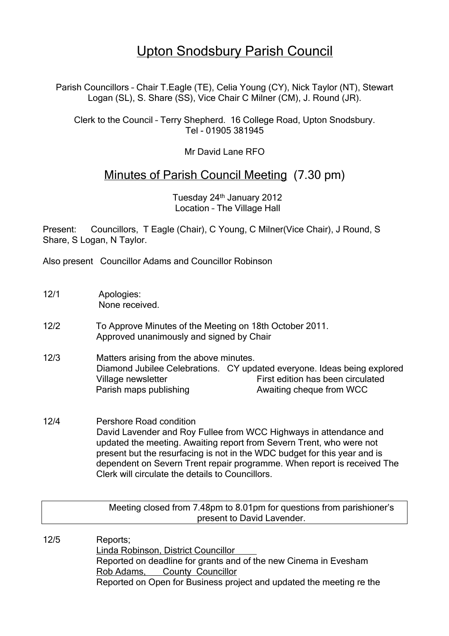## Upton Snodsbury Parish Council

Parish Councillors – Chair T.Eagle (TE), Celia Young (CY), Nick Taylor (NT), Stewart Logan (SL), S. Share (SS), Vice Chair C Milner (CM), J. Round (JR).

Clerk to the Council – Terry Shepherd. 16 College Road, Upton Snodsbury. Tel - 01905 381945

Mr David Lane RFO

## Minutes of Parish Council Meeting (7.30 pm)

Tuesday 24<sup>th</sup> January 2012 Location – The Village Hall

Present: Councillors, T Eagle (Chair), C Young, C Milner(Vice Chair), J Round, S Share, S Logan, N Taylor.

Also present Councillor Adams and Councillor Robinson

- 12/1 Apologies: None received.
- 12/2 To Approve Minutes of the Meeting on 18th October 2011. Approved unanimously and signed by Chair
- 12/3 Matters arising from the above minutes. Diamond Jubilee Celebrations. CY updated everyone. Ideas being explored Village newsletter First edition has been circulated Parish maps publishing **Awaiting cheque from WCC**
- 12/4 Pershore Road condition David Lavender and Roy Fullee from WCC Highways in attendance and updated the meeting. Awaiting report from Severn Trent, who were not present but the resurfacing is not in the WDC budget for this year and is dependent on Severn Trent repair programme. When report is received The Clerk will circulate the details to Councillors.

Meeting closed from 7.48pm to 8.01pm for questions from parishioner's present to David Lavender.

12/5 Reports; Linda Robinson, District Councillor Reported on deadline for grants and of the new Cinema in Evesham Rob Adams, County Councillor Reported on Open for Business project and updated the meeting re the